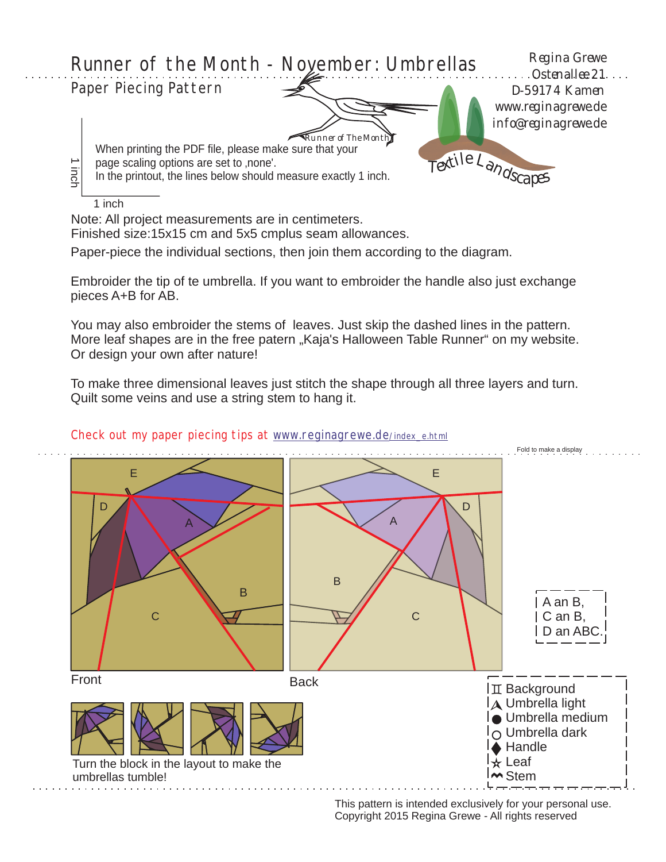

Note: All project measurements are in centimeters.

Finished size:15x15 cm and 5x5 cmplus seam allowances.

Paper-piece the individual sections, then join them according to the diagram.

Embroider the tip of te umbrella. If you want to embroider the handle also just exchange pieces A+B for AB.

You may also embroider the stems of leaves. Just skip the dashed lines in the pattern. More leaf shapes are in the free patern "Kaja's Halloween Table Runner" on my website. Or design your own after nature!

To make three dimensional leaves just stitch the shape through all three layers and turn. Quilt some veins and use a string stem to hang it.



Check out my paper piecing tips at [www.reginagrewe.de](http://www.reginagrewe.de/index.html)[/index\\_e.html](http://www.reginagrewe.de/index.html)

This pattern is intended exclusively for your personal use. Copyright 2015 Regina Grewe - All rights reserved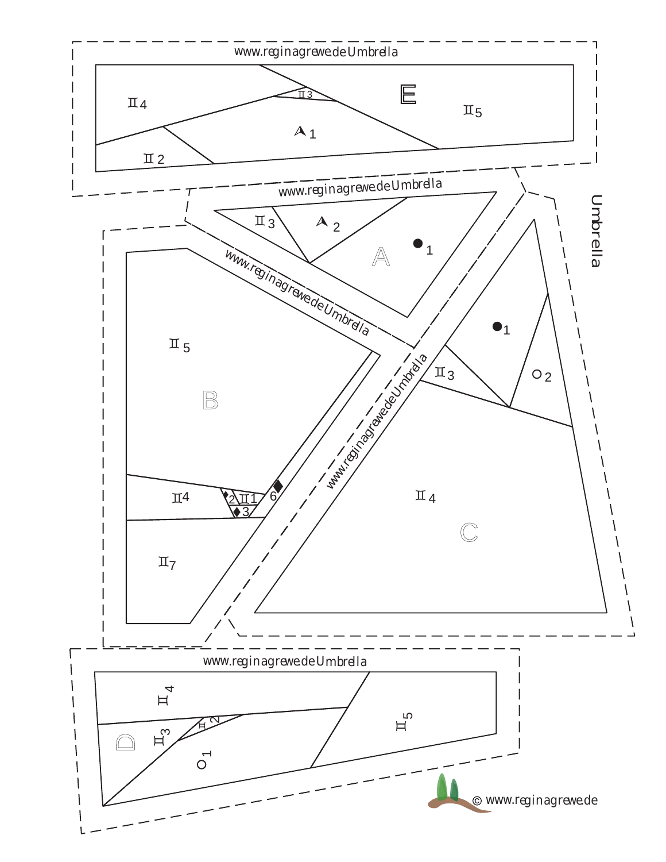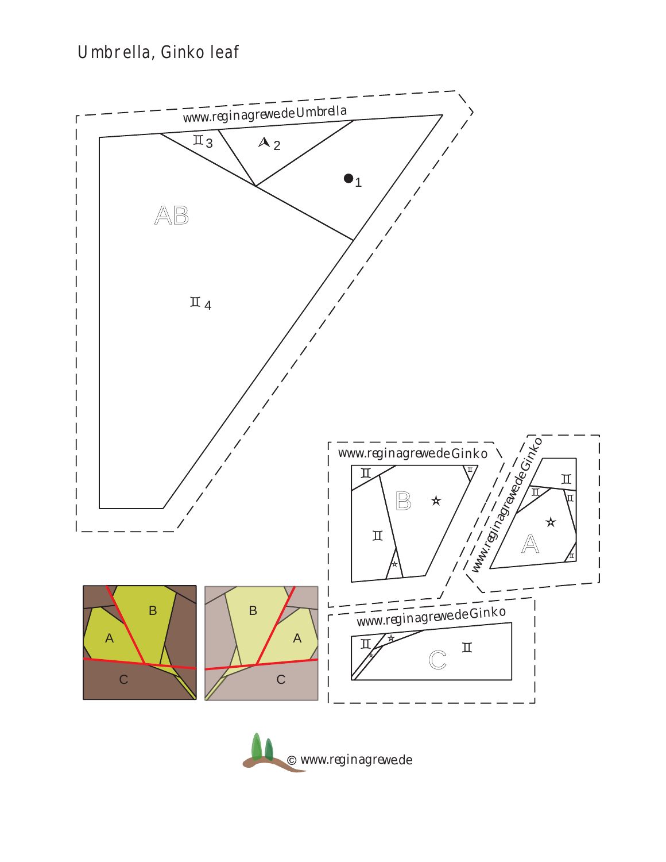## Umbrella, Ginko leaf



www.reginagrewe.de